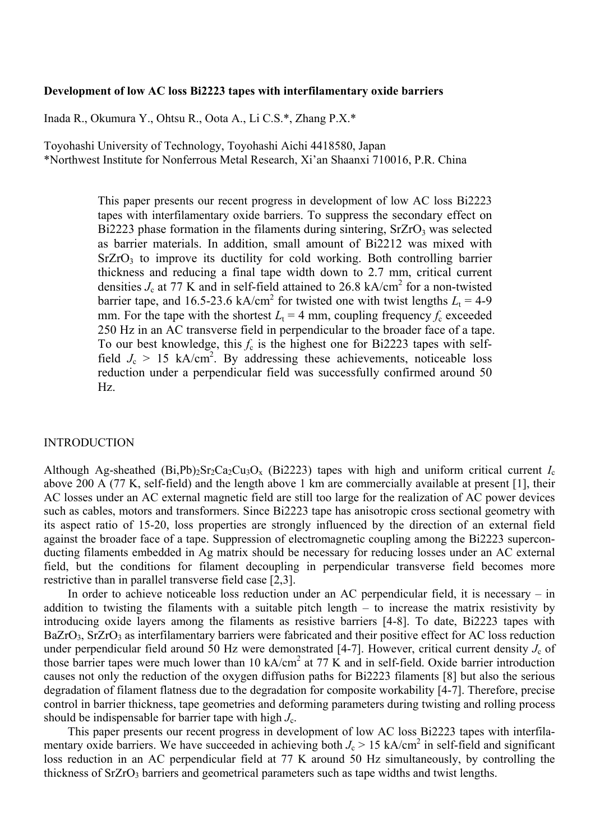#### **Development of low AC loss Bi2223 tapes with interfilamentary oxide barriers**

Inada R., Okumura Y., Ohtsu R., Oota A., Li C.S.\*, Zhang P.X.\*

Toyohashi University of Technology, Toyohashi Aichi 4418580, Japan \*Northwest Institute for Nonferrous Metal Research, Xi'an Shaanxi 710016, P.R. China

> This paper presents our recent progress in development of low AC loss Bi2223 tapes with interfilamentary oxide barriers. To suppress the secondary effect on Bi2223 phase formation in the filaments during sintering,  $SrZrO<sub>3</sub>$  was selected as barrier materials. In addition, small amount of Bi2212 was mixed with  $SrZrO<sub>3</sub>$  to improve its ductility for cold working. Both controlling barrier thickness and reducing a final tape width down to 2.7 mm, critical current densities  $J_c$  at 77 K and in self-field attained to 26.8 kA/cm<sup>2</sup> for a non-twisted barrier tape, and 16.5-23.6 kA/cm<sup>2</sup> for twisted one with twist lengths  $L_t = 4-9$ mm. For the tape with the shortest  $L_t = 4$  mm, coupling frequency  $f_c$  exceeded 250 Hz in an AC transverse field in perpendicular to the broader face of a tape. To our best knowledge, this  $f_c$  is the highest one for Bi2223 tapes with selffield  $J_c > 15$  kA/cm<sup>2</sup>. By addressing these achievements, noticeable loss reduction under a perpendicular field was successfully confirmed around 50 Hz.

#### INTRODUCTION

Although Ag-sheathed (Bi,Pb)<sub>2</sub>Sr<sub>2</sub>Ca<sub>2</sub>Cu<sub>3</sub>O<sub>x</sub> (Bi2223) tapes with high and uniform critical current  $I_c$ above 200 A (77 K, self-field) and the length above 1 km are commercially available at present [1], their AC losses under an AC external magnetic field are still too large for the realization of AC power devices such as cables, motors and transformers. Since Bi2223 tape has anisotropic cross sectional geometry with its aspect ratio of 15-20, loss properties are strongly influenced by the direction of an external field against the broader face of a tape. Suppression of electromagnetic coupling among the Bi2223 superconducting filaments embedded in Ag matrix should be necessary for reducing losses under an AC external field, but the conditions for filament decoupling in perpendicular transverse field becomes more restrictive than in parallel transverse field case [2,3].

In order to achieve noticeable loss reduction under an AC perpendicular field, it is necessary – in addition to twisting the filaments with a suitable pitch length – to increase the matrix resistivity by introducing oxide layers among the filaments as resistive barriers [4-8]. To date, Bi2223 tapes with BaZrO<sub>3</sub>, SrZrO<sub>3</sub> as interfilamentary barriers were fabricated and their positive effect for AC loss reduction under perpendicular field around 50 Hz were demonstrated  $[4-7]$ . However, critical current density  $J_c$  of those barrier tapes were much lower than 10 kA/cm<sup>2</sup> at 77 K and in self-field. Oxide barrier introduction causes not only the reduction of the oxygen diffusion paths for Bi2223 filaments [8] but also the serious degradation of filament flatness due to the degradation for composite workability [4-7]. Therefore, precise control in barrier thickness, tape geometries and deforming parameters during twisting and rolling process should be indispensable for barrier tape with high  $J_c$ .

This paper presents our recent progress in development of low AC loss Bi2223 tapes with interfilamentary oxide barriers. We have succeeded in achieving both  $J_c > 15$  kA/cm<sup>2</sup> in self-field and significant loss reduction in an AC perpendicular field at 77 K around 50 Hz simultaneously, by controlling the thickness of  $SrZrO<sub>3</sub>$  barriers and geometrical parameters such as tape widths and twist lengths.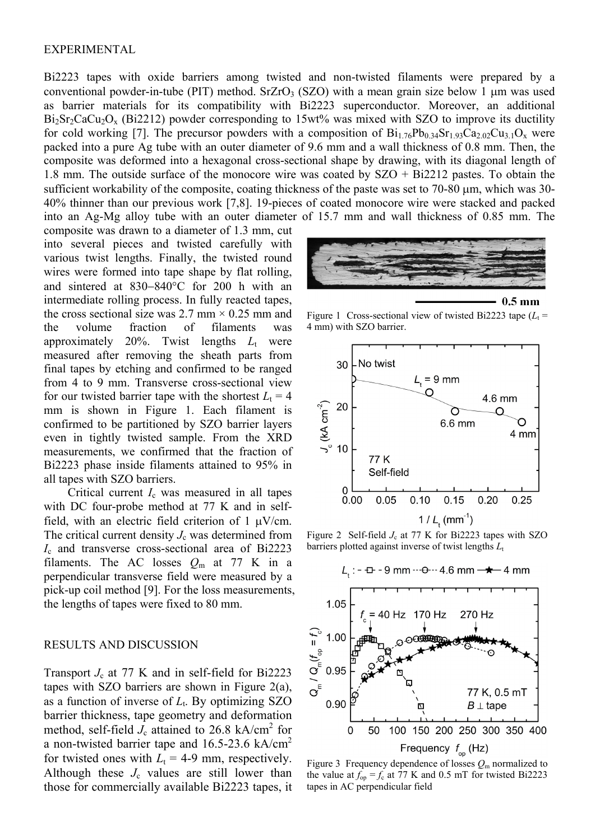### EXPERIMENTAL

Bi2223 tapes with oxide barriers among twisted and non-twisted filaments were prepared by a conventional powder-in-tube (PIT) method. SrZrO<sub>3</sub> (SZO) with a mean grain size below 1  $\mu$ m was used as barrier materials for its compatibility with Bi2223 superconductor. Moreover, an additional  $Bi_2Sr_2CaCu_2O_x$  (Bi2212) powder corresponding to 15wt% was mixed with SZO to improve its ductility for cold working [7]. The precursor powders with a composition of  $Bi_{1.76}Pb_{0.34}Sr_{1.93}Ca_{2.02}Cu_{3.1}O_x$  were packed into a pure Ag tube with an outer diameter of 9.6 mm and a wall thickness of 0.8 mm. Then, the composite was deformed into a hexagonal cross-sectional shape by drawing, with its diagonal length of 1.8 mm. The outside surface of the monocore wire was coated by SZO + Bi2212 pastes. To obtain the sufficient workability of the composite, coating thickness of the paste was set to 70-80  $\mu$ m, which was 30-40% thinner than our previous work [7,8]. 19-pieces of coated monocore wire were stacked and packed into an Ag-Mg alloy tube with an outer diameter of 15.7 mm and wall thickness of 0.85 mm. The

composite was drawn to a diameter of 1.3 mm, cut into several pieces and twisted carefully with various twist lengths. Finally, the twisted round wires were formed into tape shape by flat rolling, and sintered at  $830-840^{\circ}$ C for 200 h with an intermediate rolling process. In fully reacted tapes, the cross sectional size was 2.7 mm  $\times$  0.25 mm and the volume fraction of filaments was approximately 20%. Twist lengths  $L_t$  were measured after removing the sheath parts from final tapes by etching and confirmed to be ranged from 4 to 9 mm. Transverse cross-sectional view for our twisted barrier tape with the shortest  $L_t = 4$ mm is shown in Figure 1. Each filament is confirmed to be partitioned by SZO barrier layers even in tightly twisted sample. From the XRD measurements, we confirmed that the fraction of Bi2223 phase inside filaments attained to 95% in all tapes with SZO barriers.

Critical current *I*c was measured in all tapes with DC four-probe method at 77 K and in selffield, with an electric field criterion of  $1 \mu V/cm$ . The critical current density  $J_c$  was determined from *I*<sup>c</sup> and transverse cross-sectional area of Bi2223 filaments. The AC losses  $Q_m$  at 77 K in a perpendicular transverse field were measured by a pick-up coil method [9]. For the loss measurements, the lengths of tapes were fixed to 80 mm.

### RESULTS AND DISCUSSION

Transport  $J_c$  at 77 K and in self-field for Bi2223 tapes with SZO barriers are shown in Figure 2(a), as a function of inverse of  $L_t$ . By optimizing SZO barrier thickness, tape geometry and deformation method, self-field  $J_c$  attained to 26.8 kA/cm<sup>2</sup> for a non-twisted barrier tape and  $16.5$ -23.6 kA/cm<sup>2</sup> for twisted ones with  $L_t = 4-9$  mm, respectively. Although these  $J_c$  values are still lower than those for commercially available Bi2223 tapes, it



Figure 1 Cross-sectional view of twisted Bi2223 tape  $(L_t =$ 4 mm) with SZO barrier.



Figure 2 Self-field  $J_c$  at 77 K for Bi2223 tapes with SZO barriers plotted against inverse of twist lengths *L*<sup>t</sup>



Figure 3 Frequency dependence of losses  $Q<sub>m</sub>$  normalized to the value at  $f_{op} = f_c$  at 77 K and 0.5 mT for twisted Bi2223 tapes in AC perpendicular field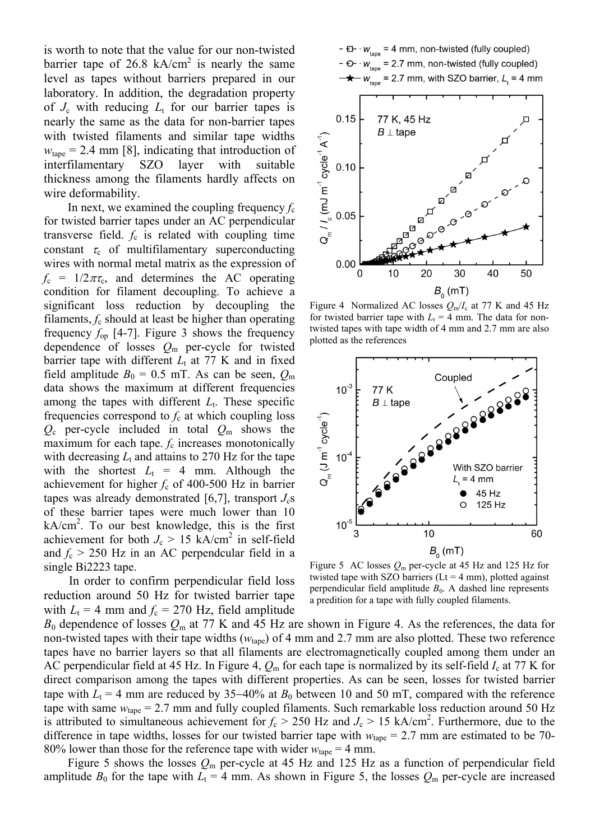is worth to note that the value for our non-twisted barrier tape of 26.8 kA/cm<sup>2</sup> is nearly the same level as tapes without barriers prepared in our laboratory. In addition, the degradation property of  $J_c$  with reducing  $L_t$  for our barrier tapes is nearly the same as the data for non-barrier tapes with twisted filaments and similar tape widths  $w<sub>tane</sub> = 2.4$  mm [8], indicating that introduction of interfilamentary SZO layer with suitable thickness among the filaments hardly affects on wire deformability.

In next, we examined the coupling frequency  $f_c$ for twisted barrier tapes under an AC perpendicular transverse field.  $f_c$  is related with coupling time constant  $\tau_c$  of multifilamentary superconducting wires with normal metal matrix as the expression of  $f_c = 1/2\pi\tau_c$ , and determines the AC operating condition for filament decoupling. To achieve a significant loss reduction by decoupling the filaments, *f*c should at least be higher than operating frequency  $f_{op}$  [4-7]. Figure 3 shows the frequency dependence of losses *Q*m per-cycle for twisted barrier tape with different  $L_t$  at 77 K and in fixed field amplitude  $B_0 = 0.5$  mT. As can be seen,  $Q_m$ data shows the maximum at different frequencies among the tapes with different  $L_t$ . These specific frequencies correspond to  $f_c$  at which coupling loss *Q*c per-cycle included in total *Q*m shows the maximum for each tape.  $f_c$  increases monotonically with decreasing  $L_t$  and attains to 270 Hz for the tape with the shortest  $L_t = 4$  mm. Although the achievement for higher  $f_c$  of 400-500 Hz in barrier tapes was already demonstrated [6,7], transport  $J_c$ s of these barrier tapes were much lower than 10  $kA/cm<sup>2</sup>$ . To our best knowledge, this is the first achievement for both  $J_c > 15$  kA/cm<sup>2</sup> in self-field and  $f_c > 250$  Hz in an AC perpendcular field in a single Bi2223 tape.

In order to confirm perpendicular field loss reduction around 50 Hz for twisted barrier tape with  $L_t = 4$  mm and  $f_c = 270$  Hz, field amplitude



Figure 4 Normalized AC losses  $Q_m/I_c$  at 77 K and 45 Hz for twisted barrier tape with  $L_t = 4$  mm. The data for nontwisted tapes with tape width of 4 mm and 2.7 mm are also plotted as the references



Figure 5 AC losses *Q*m per-cycle at 45 Hz and 125 Hz for twisted tape with SZO barriers ( $Lt = 4$  mm), plotted against perpendicular field amplitude  $B_0$ . A dashed line represents a predition for a tape with fully coupled filaments.

 $B_0$  dependence of losses  $Q_m$  at 77 K and 45 Hz are shown in Figure 4. As the references, the data for non-twisted tapes with their tape widths ( $w<sub>tane</sub>$ ) of 4 mm and 2.7 mm are also plotted. These two reference tapes have no barrier layers so that all filaments are electromagnetically coupled among them under an AC perpendicular field at 45 Hz. In Figure 4, *Q*m for each tape is normalized by its self-field *I*c at 77 K for direct comparison among the tapes with different properties. As can be seen, losses for twisted barrier tape with  $L_t = 4$  mm are reduced by 35–40% at  $B_0$  between 10 and 50 mT, compared with the reference tape with same  $w_{\text{tape}} = 2.7$  mm and fully coupled filaments. Such remarkable loss reduction around 50 Hz is attributed to simultaneous achievement for  $f_c > 250$  Hz and  $J_c > 15$  kA/cm<sup>2</sup>. Furthermore, due to the difference in tape widths, losses for our twisted barrier tape with  $w_{\text{tane}} = 2.7$  mm are estimated to be 70-80% lower than those for the reference tape with wider  $w_{\text{tape}} = 4 \text{ mm}$ .

Figure 5 shows the losses *Q*m per-cycle at 45 Hz and 125 Hz as a function of perpendicular field amplitude  $B_0$  for the tape with  $L_t = 4$  mm. As shown in Figure 5, the losses  $Q_m$  per-cycle are increased